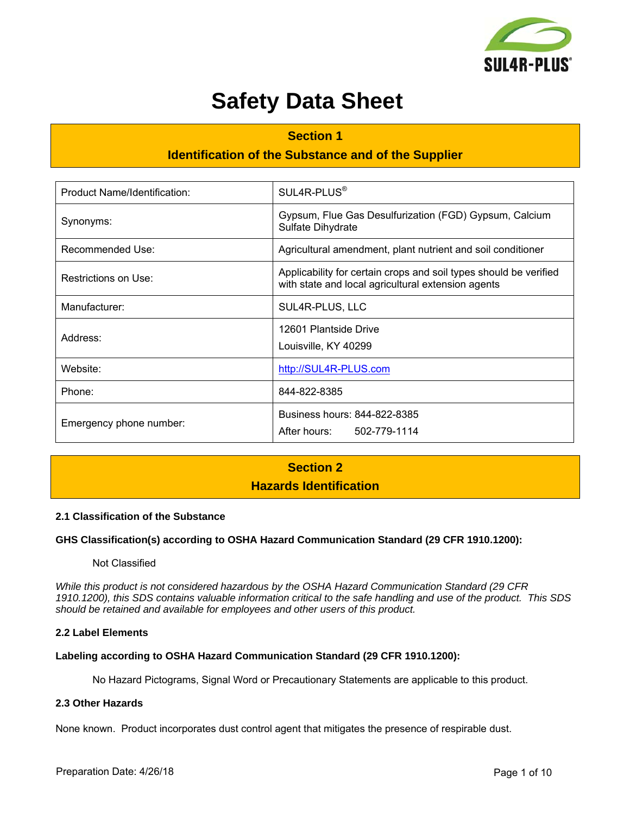

# **Safety Data Sheet**

# **Section 1 Identification of the Substance and of the Supplier**

| Product Name/Identification: | SUL4R-PLUS <sup>®</sup>                                                                                                 |  |  |
|------------------------------|-------------------------------------------------------------------------------------------------------------------------|--|--|
| Synonyms:                    | Gypsum, Flue Gas Desulfurization (FGD) Gypsum, Calcium<br>Sulfate Dihydrate                                             |  |  |
| Recommended Use:             | Agricultural amendment, plant nutrient and soil conditioner                                                             |  |  |
| Restrictions on Use:         | Applicability for certain crops and soil types should be verified<br>with state and local agricultural extension agents |  |  |
| Manufacturer:                | SUL4R-PLUS, LLC                                                                                                         |  |  |
| Address:                     | 12601 Plantside Drive<br>Louisville, KY 40299                                                                           |  |  |
| Website:                     | http://SUL4R-PLUS.com                                                                                                   |  |  |
| Phone:                       | 844-822-8385                                                                                                            |  |  |
| Emergency phone number:      | Business hours: 844-822-8385<br>After hours: 502-779-1114                                                               |  |  |

### **Section 2 Hazards Identification**

#### **2.1 Classification of the Substance**

#### **GHS Classification(s) according to OSHA Hazard Communication Standard (29 CFR 1910.1200):**

#### Not Classified

*While this product is not considered hazardous by the OSHA Hazard Communication Standard (29 CFR 1910.1200), this SDS contains valuable information critical to the safe handling and use of the product. This SDS should be retained and available for employees and other users of this product.* 

#### **2.2 Label Elements**

#### **Labeling according to OSHA Hazard Communication Standard (29 CFR 1910.1200):**

No Hazard Pictograms, Signal Word or Precautionary Statements are applicable to this product.

#### **2.3 Other Hazards**

None known. Product incorporates dust control agent that mitigates the presence of respirable dust.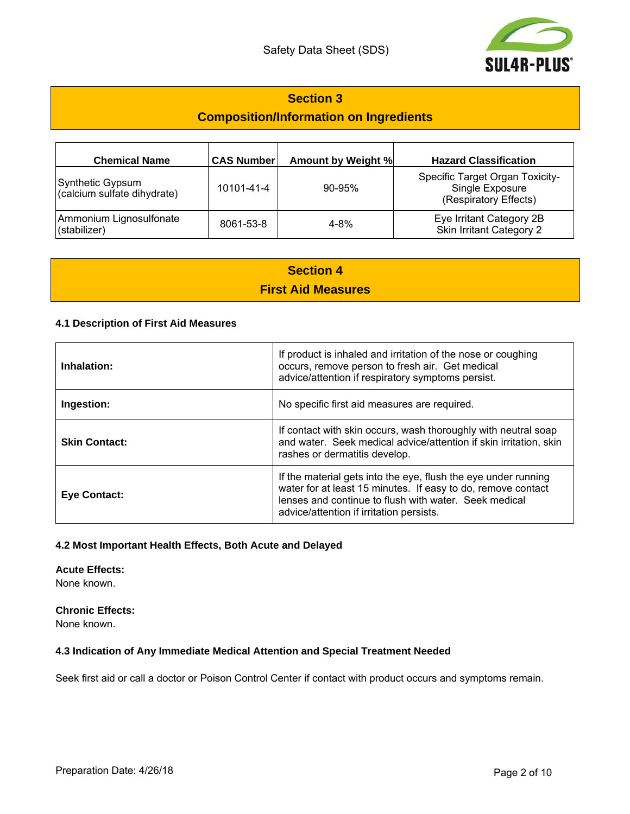

### **Section 3**

### **Composition/Information on Ingredients**

| <b>Chemical Name</b>                            | <b>CAS Number</b> | <b>Amount by Weight %</b> | <b>Hazard Classification</b>                                                       |
|-------------------------------------------------|-------------------|---------------------------|------------------------------------------------------------------------------------|
| Synthetic Gypsum<br>(calcium sulfate dihydrate) | 10101-41-4        | $90 - 95%$                | <b>Specific Target Organ Toxicity-</b><br>Single Exposure<br>(Respiratory Effects) |
| Ammonium Lignosulfonate<br>(stabilizer)         | 8061-53-8         | $4 - 8%$                  | Eye Irritant Category 2B<br>Skin Irritant Category 2                               |

## **Section 4 First Aid Measures**

#### **4.1 Description of First Aid Measures**

| Inhalation:          | If product is inhaled and irritation of the nose or coughing<br>occurs, remove person to fresh air. Get medical<br>advice/attention if respiratory symptoms persist.                                                                |
|----------------------|-------------------------------------------------------------------------------------------------------------------------------------------------------------------------------------------------------------------------------------|
| Ingestion:           | No specific first aid measures are required.                                                                                                                                                                                        |
| <b>Skin Contact:</b> | If contact with skin occurs, wash thoroughly with neutral soap<br>and water. Seek medical advice/attention if skin irritation, skin<br>rashes or dermatitis develop.                                                                |
| <b>Eye Contact:</b>  | If the material gets into the eye, flush the eye under running<br>water for at least 15 minutes. If easy to do, remove contact<br>lenses and continue to flush with water. Seek medical<br>advice/attention if irritation persists. |

#### **4.2 Most Important Health Effects, Both Acute and Delayed**

**Acute Effects:**  None known.

**Chronic Effects:**  None known.

#### **4.3 Indication of Any Immediate Medical Attention and Special Treatment Needed**

Seek first aid or call a doctor or Poison Control Center if contact with product occurs and symptoms remain.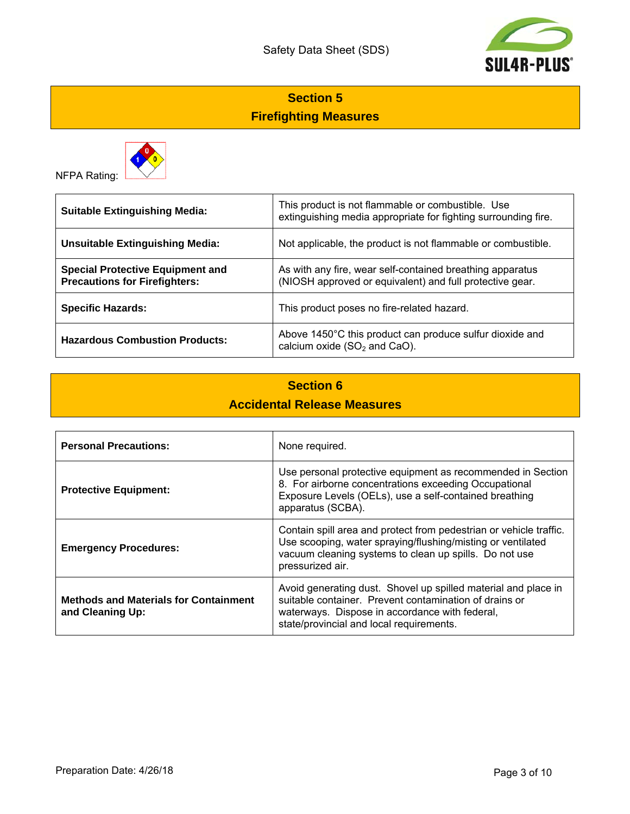

# **Section 5 Firefighting Measures**



NFPA Rating:

| <b>Suitable Extinguishing Media:</b>                                            | This product is not flammable or combustible. Use<br>extinguishing media appropriate for fighting surrounding fire.   |  |
|---------------------------------------------------------------------------------|-----------------------------------------------------------------------------------------------------------------------|--|
| <b>Unsuitable Extinguishing Media:</b>                                          | Not applicable, the product is not flammable or combustible.                                                          |  |
| <b>Special Protective Equipment and</b><br><b>Precautions for Firefighters:</b> | As with any fire, wear self-contained breathing apparatus<br>(NIOSH approved or equivalent) and full protective gear. |  |
| <b>Specific Hazards:</b>                                                        | This product poses no fire-related hazard.                                                                            |  |
| <b>Hazardous Combustion Products:</b>                                           | Above 1450°C this product can produce sulfur dioxide and<br>calcium oxide $(SO2$ and CaO).                            |  |

# **Section 6 Accidental Release Measures**

| <b>Personal Precautions:</b>                                     | None required.                                                                                                                                                                                                         |
|------------------------------------------------------------------|------------------------------------------------------------------------------------------------------------------------------------------------------------------------------------------------------------------------|
| <b>Protective Equipment:</b>                                     | Use personal protective equipment as recommended in Section<br>8. For airborne concentrations exceeding Occupational<br>Exposure Levels (OELs), use a self-contained breathing<br>apparatus (SCBA).                    |
| <b>Emergency Procedures:</b>                                     | Contain spill area and protect from pedestrian or vehicle traffic.<br>Use scooping, water spraying/flushing/misting or ventilated<br>vacuum cleaning systems to clean up spills. Do not use<br>pressurized air.        |
| <b>Methods and Materials for Containment</b><br>and Cleaning Up: | Avoid generating dust. Shovel up spilled material and place in<br>suitable container. Prevent contamination of drains or<br>waterways. Dispose in accordance with federal,<br>state/provincial and local requirements. |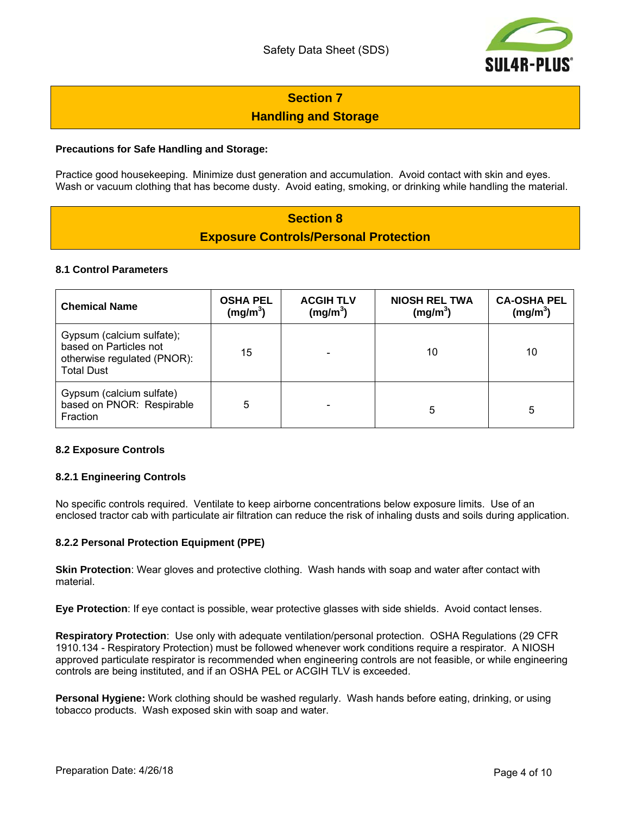

# **Section 7 Handling and Storage**

#### **Precautions for Safe Handling and Storage:**

Practice good housekeeping. Minimize dust generation and accumulation. Avoid contact with skin and eyes. Wash or vacuum clothing that has become dusty. Avoid eating, smoking, or drinking while handling the material.

### **Section 8 Exposure Controls/Personal Protection**

#### **8.1 Control Parameters**

| <b>Chemical Name</b>                                                                                    | <b>OSHA PEL</b><br>(mg/m <sup>3</sup> ) | <b>ACGIH TLV</b><br>(mg/m <sup>3</sup> ) | <b>NIOSH REL TWA</b><br>(mg/m <sup>3</sup> ) | <b>CA-OSHA PEL</b><br>(mg/m <sup>3</sup> ) |
|---------------------------------------------------------------------------------------------------------|-----------------------------------------|------------------------------------------|----------------------------------------------|--------------------------------------------|
| Gypsum (calcium sulfate);<br>based on Particles not<br>otherwise regulated (PNOR):<br><b>Total Dust</b> | 15                                      |                                          | 10                                           | 10                                         |
| Gypsum (calcium sulfate)<br>based on PNOR: Respirable<br>Fraction                                       | 5                                       |                                          | 5                                            | 5                                          |

#### **8.2 Exposure Controls**

#### **8.2.1 Engineering Controls**

No specific controls required. Ventilate to keep airborne concentrations below exposure limits. Use of an enclosed tractor cab with particulate air filtration can reduce the risk of inhaling dusts and soils during application.

#### **8.2.2 Personal Protection Equipment (PPE)**

**Skin Protection**: Wear gloves and protective clothing. Wash hands with soap and water after contact with material.

**Eye Protection**: If eye contact is possible, wear protective glasses with side shields. Avoid contact lenses.

**Respiratory Protection**: Use only with adequate ventilation/personal protection. OSHA Regulations (29 CFR 1910.134 - Respiratory Protection) must be followed whenever work conditions require a respirator. A NIOSH approved particulate respirator is recommended when engineering controls are not feasible, or while engineering controls are being instituted, and if an OSHA PEL or ACGIH TLV is exceeded.

**Personal Hygiene:** Work clothing should be washed regularly. Wash hands before eating, drinking, or using tobacco products. Wash exposed skin with soap and water.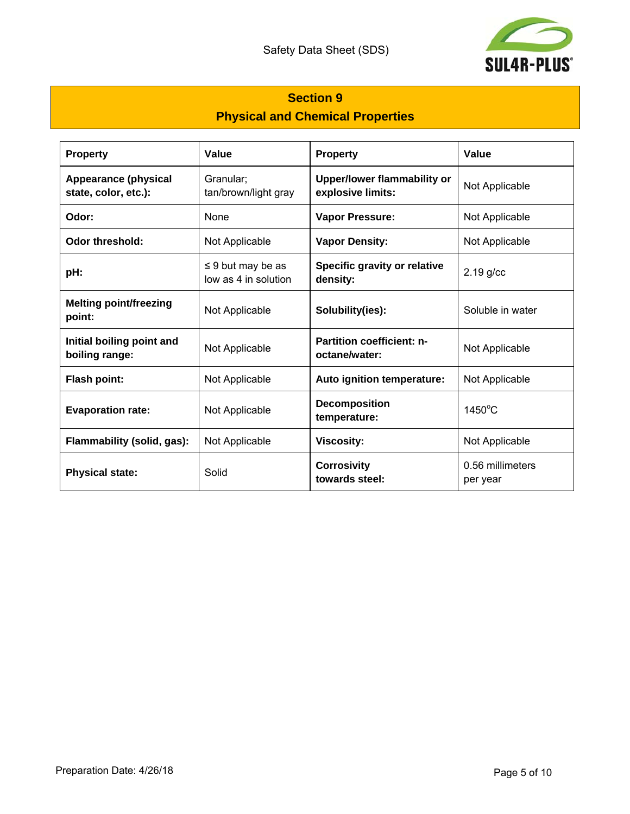

# **Section 9 Physical and Chemical Properties**

| <b>Property</b>                                     | Value                                          | <b>Property</b>                                   | Value                        |  |
|-----------------------------------------------------|------------------------------------------------|---------------------------------------------------|------------------------------|--|
| <b>Appearance (physical</b><br>state, color, etc.): | Granular;<br>tan/brown/light gray              | Upper/lower flammability or<br>explosive limits:  | Not Applicable               |  |
| Odor:                                               | <b>None</b>                                    | <b>Vapor Pressure:</b>                            | Not Applicable               |  |
| <b>Odor threshold:</b>                              | Not Applicable                                 | <b>Vapor Density:</b>                             | Not Applicable               |  |
| pH:                                                 | $\leq$ 9 but may be as<br>low as 4 in solution | Specific gravity or relative<br>density:          | $2.19$ g/cc                  |  |
| <b>Melting point/freezing</b><br>point:             | Not Applicable                                 | Solubility(ies):                                  | Soluble in water             |  |
| Initial boiling point and<br>boiling range:         | Not Applicable                                 | <b>Partition coefficient: n-</b><br>octane/water: | Not Applicable               |  |
| Flash point:                                        | Not Applicable                                 | Auto ignition temperature:                        | Not Applicable               |  |
| <b>Evaporation rate:</b>                            | Not Applicable                                 | <b>Decomposition</b><br>temperature:              | $1450^{\circ}$ C             |  |
| Flammability (solid, gas):                          | Not Applicable                                 | <b>Viscosity:</b>                                 | Not Applicable               |  |
| <b>Physical state:</b>                              | Solid                                          | <b>Corrosivity</b><br>towards steel:              | 0.56 millimeters<br>per year |  |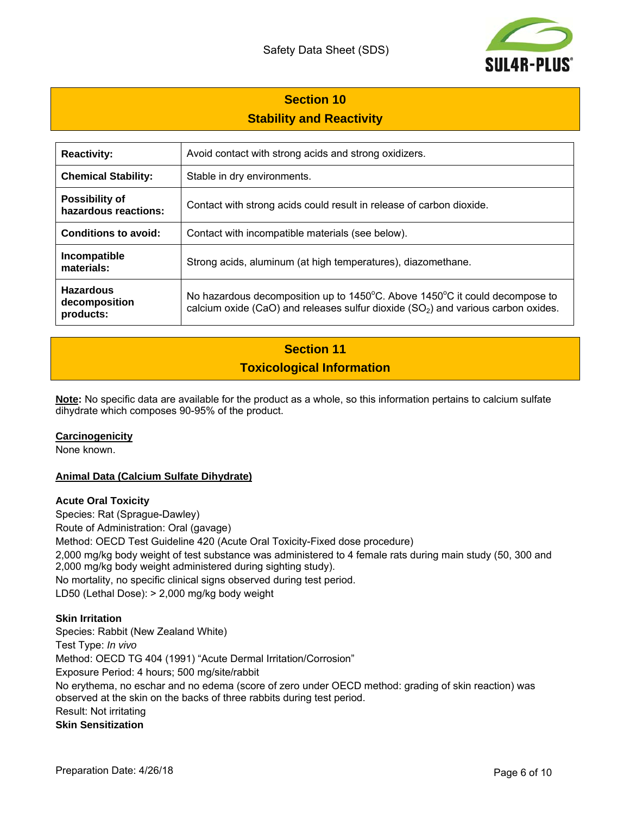

# **Section 10 Stability and Reactivity**

| <b>Reactivity:</b>                             | Avoid contact with strong acids and strong oxidizers.                                                                                                                                 |
|------------------------------------------------|---------------------------------------------------------------------------------------------------------------------------------------------------------------------------------------|
| <b>Chemical Stability:</b>                     | Stable in dry environments.                                                                                                                                                           |
| <b>Possibility of</b><br>hazardous reactions:  | Contact with strong acids could result in release of carbon dioxide.                                                                                                                  |
| Conditions to avoid:                           | Contact with incompatible materials (see below).                                                                                                                                      |
| Incompatible<br>materials:                     | Strong acids, aluminum (at high temperatures), diazomethane.                                                                                                                          |
| <b>Hazardous</b><br>decomposition<br>products: | No hazardous decomposition up to $1450^{\circ}$ C. Above $1450^{\circ}$ C it could decompose to<br>calcium oxide (CaO) and releases sulfur dioxide $(SO2)$ and various carbon oxides. |

# **Section 11 Toxicological Information**

**Note:** No specific data are available for the product as a whole, so this information pertains to calcium sulfate dihydrate which composes 90-95% of the product.

#### **Carcinogenicity**

None known.

#### **Animal Data (Calcium Sulfate Dihydrate)**

#### **Acute Oral Toxicity**

Species: Rat (Sprague-Dawley) Route of Administration: Oral (gavage) Method: OECD Test Guideline 420 (Acute Oral Toxicity-Fixed dose procedure) 2,000 mg/kg body weight of test substance was administered to 4 female rats during main study (50, 300 and 2,000 mg/kg body weight administered during sighting study). No mortality, no specific clinical signs observed during test period. LD50 (Lethal Dose): > 2,000 mg/kg body weight

#### **Skin Irritation**

Species: Rabbit (New Zealand White) Test Type: *In vivo* Method: OECD TG 404 (1991) "Acute Dermal Irritation/Corrosion" Exposure Period: 4 hours; 500 mg/site/rabbit No erythema, no eschar and no edema (score of zero under OECD method: grading of skin reaction) was observed at the skin on the backs of three rabbits during test period. Result: Not irritating **Skin Sensitization**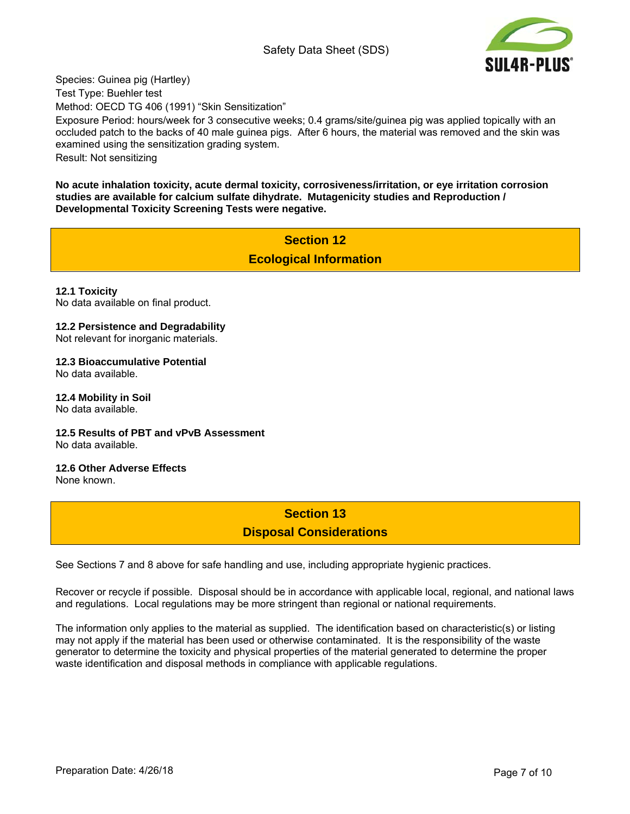#### Safety Data Sheet (SDS)



Species: Guinea pig (Hartley)

Test Type: Buehler test

Method: OECD TG 406 (1991) "Skin Sensitization"

Exposure Period: hours/week for 3 consecutive weeks; 0.4 grams/site/guinea pig was applied topically with an occluded patch to the backs of 40 male guinea pigs. After 6 hours, the material was removed and the skin was examined using the sensitization grading system.

Result: Not sensitizing

**No acute inhalation toxicity, acute dermal toxicity, corrosiveness/irritation, or eye irritation corrosion studies are available for calcium sulfate dihydrate. Mutagenicity studies and Reproduction / Developmental Toxicity Screening Tests were negative.** 

> **Section 12 Ecological Information**

**12.1 Toxicity**  No data available on final product.

#### **12.2 Persistence and Degradability**

Not relevant for inorganic materials.

**12.3 Bioaccumulative Potential** 

No data available.

**12.4 Mobility in Soil**  No data available.

**12.5 Results of PBT and vPvB Assessment**  No data available.

**12.6 Other Adverse Effects** 

None known.

### **Section 13 Disposal Considerations**

See Sections 7 and 8 above for safe handling and use, including appropriate hygienic practices.

Recover or recycle if possible. Disposal should be in accordance with applicable local, regional, and national laws and regulations. Local regulations may be more stringent than regional or national requirements.

The information only applies to the material as supplied. The identification based on characteristic(s) or listing may not apply if the material has been used or otherwise contaminated. It is the responsibility of the waste generator to determine the toxicity and physical properties of the material generated to determine the proper waste identification and disposal methods in compliance with applicable regulations.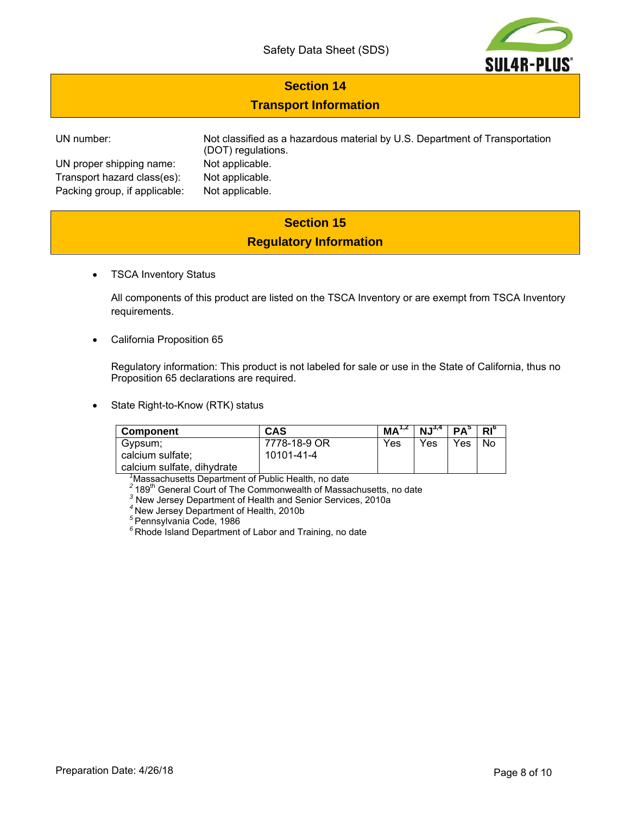

### **Section 14**

### **Transport Information**

UN proper shipping name: Not applicable. Transport hazard class(es): Not applicable. Packing group, if applicable: Not applicable.

UN number: Not classified as a hazardous material by U.S. Department of Transportation (DOT) regulations.

## **Section 15 Regulatory Information**

TSCA Inventory Status

All components of this product are listed on the TSCA Inventory or are exempt from TSCA Inventory requirements.

California Proposition 65

Regulatory information: This product is not labeled for sale or use in the State of California, thus no Proposition 65 declarations are required.

State Right-to-Know (RTK) status

| <b>Component</b>           | <b>CAS</b>   | MA <sup>1,2</sup> | $\mid$ NJ <sup>3,4</sup> | $ PA^5 R ^\circ$ |     |
|----------------------------|--------------|-------------------|--------------------------|------------------|-----|
| Gypsum;                    | 7778-18-9 OR | Yes               | Yes                      | Yes              | No. |
| calcium sulfate;           | 10101-41-4   |                   |                          |                  |     |
| calcium sulfate, dihydrate |              |                   |                          |                  |     |

 *<sup>1</sup>*

<sup>7</sup>Massachusetts Department of Public Health, no date<br><sup>2</sup> 189<sup>th</sup> General Court of The Commonwealth of Massachusetts, no date

New Jersey Department of Health and Senior Services, 2010a

*<sup>4</sup>*New Jersey Department of Health, 2010b

*<sup>5</sup>*Pennsylvania Code, 1986

*<sup>6</sup>*Rhode Island Department of Labor and Training, no date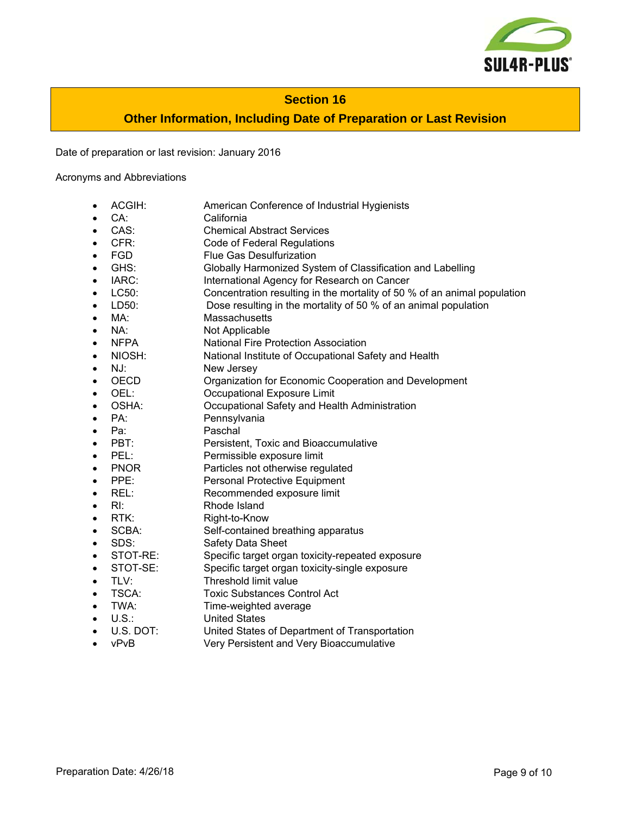

#### **Section 16**

### **Other Information, Including Date of Preparation or Last Revision**

Date of preparation or last revision: January 2016

Acronyms and Abbreviations

- ACGIH: American Conference of Industrial Hygienists
- CA: California
- CAS: Chemical Abstract Services
- CFR: Code of Federal Regulations
- FGD Flue Gas Desulfurization
- GHS: Globally Harmonized System of Classification and Labelling
- IARC: International Agency for Research on Cancer
- LC50: Concentration resulting in the mortality of 50 % of an animal population
- LD50: Dose resulting in the mortality of 50 % of an animal population
- MA: Massachusetts
- NA: Not Applicable
- NFPA National Fire Protection Association
- NIOSH: National Institute of Occupational Safety and Health
- NJ: New Jersey
- OECD Organization for Economic Cooperation and Development
- OEL: Occupational Exposure Limit
- OSHA: Occupational Safety and Health Administration
- PA: Pennsylvania
- Pa: Paschal
- PBT: Persistent, Toxic and Bioaccumulative
- PEL: Permissible exposure limit
- PNOR Particles not otherwise regulated
- PPE: Personal Protective Equipment
- REL: Recommended exposure limit
- RI: Rhode Island
- RTK: Right-to-Know
- SCBA: Self-contained breathing apparatus
- SDS: Safety Data Sheet
- STOT-RE: Specific target organ toxicity-repeated exposure
- STOT-SE: Specific target organ toxicity-single exposure
- TLV: Threshold limit value
- TSCA: Toxic Substances Control Act
- TWA: Time-weighted average
- U.S.: United States<br>U.S. DOT: United States
- United States of Department of Transportation
- vPvB Very Persistent and Very Bioaccumulative